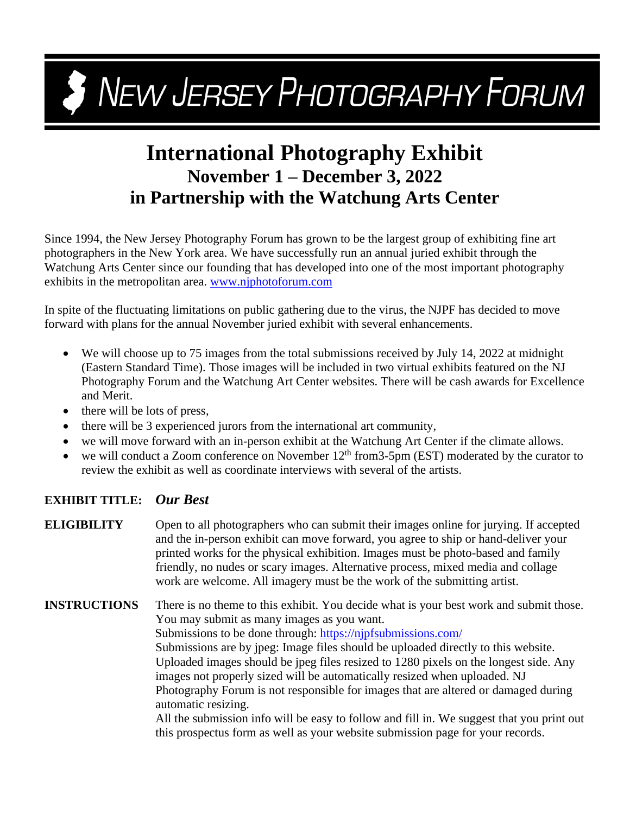## **3** NEW JERSEY PHOTOGRAPHY FORUM

## **International Photography Exhibit November 1 – December 3, 2022 in Partnership with the Watchung Arts Center**

Since 1994, the New Jersey Photography Forum has grown to be the largest group of exhibiting fine art photographers in the New York area. We have successfully run an annual juried exhibit through the Watchung Arts Center since our founding that has developed into one of the most important photography exhibits in the metropolitan area. [www.njphotoforum.com](http://www.njphotoforum.com/)

In spite of the fluctuating limitations on public gathering due to the virus, the NJPF has decided to move forward with plans for the annual November juried exhibit with several enhancements.

- We will choose up to 75 images from the total submissions received by July 14, 2022 at midnight (Eastern Standard Time). Those images will be included in two virtual exhibits featured on the NJ Photography Forum and the Watchung Art Center websites. There will be cash awards for Excellence and Merit.
- there will be lots of press,
- there will be 3 experienced jurors from the international art community,
- we will move forward with an in-person exhibit at the Watchung Art Center if the climate allows.
- we will conduct a Zoom conference on November  $12<sup>th</sup>$  from 3-5pm (EST) moderated by the curator to review the exhibit as well as coordinate interviews with several of the artists.

## **EXHIBIT TITLE:** *Our Best*

**ELIGIBILITY** Open to all photographers who can submit their images online for jurying. If accepted and the in-person exhibit can move forward, you agree to ship or hand-deliver your printed works for the physical exhibition. Images must be photo-based and family friendly, no nudes or scary images. Alternative process, mixed media and collage work are welcome. All imagery must be the work of the submitting artist.

**INSTRUCTIONS** There is no theme to this exhibit. You decide what is your best work and submit those. You may submit as many images as you want. Submissions to be done through: <https://njpfsubmissions.com/>

Submissions are by jpeg: Image files should be uploaded directly to this website. Uploaded images should be jpeg files resized to 1280 pixels on the longest side. Any images not properly sized will be automatically resized when uploaded. NJ Photography Forum is not responsible for images that are altered or damaged during automatic resizing.

All the submission info will be easy to follow and fill in. We suggest that you print out this prospectus form as well as your website submission page for your records.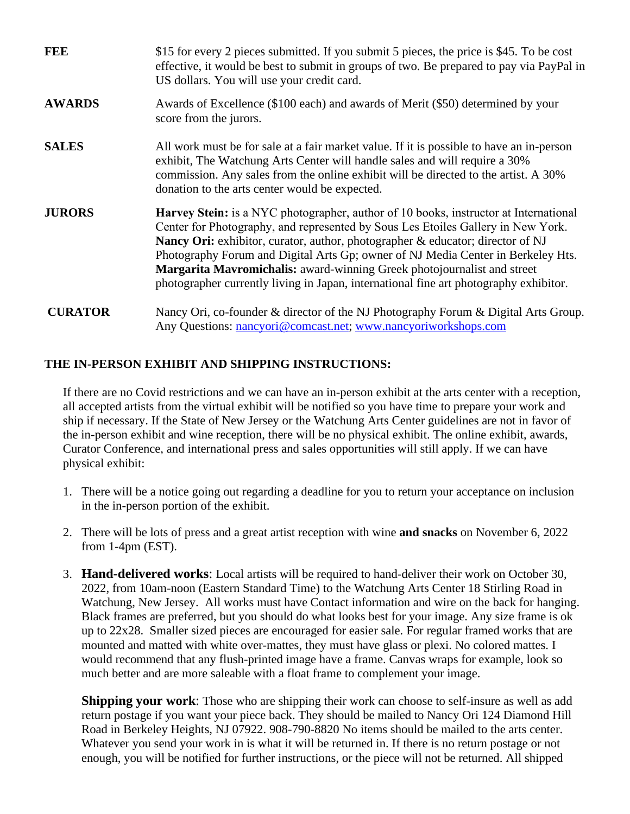| <b>FEE</b>     | \$15 for every 2 pieces submitted. If you submit 5 pieces, the price is \$45. To be cost<br>effective, it would be best to submit in groups of two. Be prepared to pay via PayPal in<br>US dollars. You will use your credit card.                                                                                                                                                                                                                                                                                 |
|----------------|--------------------------------------------------------------------------------------------------------------------------------------------------------------------------------------------------------------------------------------------------------------------------------------------------------------------------------------------------------------------------------------------------------------------------------------------------------------------------------------------------------------------|
| <b>AWARDS</b>  | Awards of Excellence (\$100 each) and awards of Merit (\$50) determined by your<br>score from the jurors.                                                                                                                                                                                                                                                                                                                                                                                                          |
| <b>SALES</b>   | All work must be for sale at a fair market value. If it is possible to have an in-person<br>exhibit, The Watchung Arts Center will handle sales and will require a 30%<br>commission. Any sales from the online exhibit will be directed to the artist. A 30%<br>donation to the arts center would be expected.                                                                                                                                                                                                    |
| <b>JURORS</b>  | Harvey Stein: is a NYC photographer, author of 10 books, instructor at International<br>Center for Photography, and represented by Sous Les Etoiles Gallery in New York.<br>Nancy Ori: exhibitor, curator, author, photographer & educator; director of NJ<br>Photography Forum and Digital Arts Gp; owner of NJ Media Center in Berkeley Hts.<br>Margarita Mavromichalis: award-winning Greek photojournalist and street<br>photographer currently living in Japan, international fine art photography exhibitor. |
| <b>CURATOR</b> | Nancy Ori, co-founder & director of the NJ Photography Forum & Digital Arts Group.<br>Any Questions: nancyori@comcast.net; www.nancyoriworkshops.com                                                                                                                                                                                                                                                                                                                                                               |

## **THE IN-PERSON EXHIBIT AND SHIPPING INSTRUCTIONS:**

If there are no Covid restrictions and we can have an in-person exhibit at the arts center with a reception, all accepted artists from the virtual exhibit will be notified so you have time to prepare your work and ship if necessary. If the State of New Jersey or the Watchung Arts Center guidelines are not in favor of the in-person exhibit and wine reception, there will be no physical exhibit. The online exhibit, awards, Curator Conference, and international press and sales opportunities will still apply. If we can have physical exhibit:

- 1. There will be a notice going out regarding a deadline for you to return your acceptance on inclusion in the in-person portion of the exhibit.
- 2. There will be lots of press and a great artist reception with wine **and snacks** on November 6, 2022 from 1-4pm (EST).
- 3. **Hand-delivered works**: Local artists will be required to hand-deliver their work on October 30, 2022, from 10am-noon (Eastern Standard Time) to the Watchung Arts Center 18 Stirling Road in Watchung, New Jersey. All works must have Contact information and wire on the back for hanging. Black frames are preferred, but you should do what looks best for your image. Any size frame is ok up to 22x28. Smaller sized pieces are encouraged for easier sale. For regular framed works that are mounted and matted with white over-mattes, they must have glass or plexi. No colored mattes. I would recommend that any flush-printed image have a frame. Canvas wraps for example, look so much better and are more saleable with a float frame to complement your image.

**Shipping your work**: Those who are shipping their work can choose to self-insure as well as add return postage if you want your piece back. They should be mailed to Nancy Ori 124 Diamond Hill Road in Berkeley Heights, NJ 07922. 908-790-8820 No items should be mailed to the arts center. Whatever you send your work in is what it will be returned in. If there is no return postage or not enough, you will be notified for further instructions, or the piece will not be returned. All shipped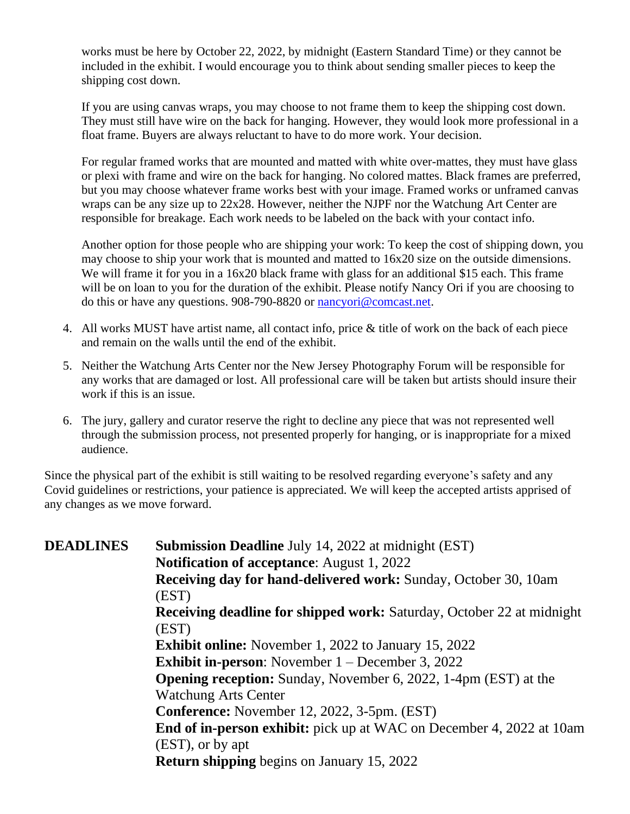works must be here by October 22, 2022, by midnight (Eastern Standard Time) or they cannot be included in the exhibit. I would encourage you to think about sending smaller pieces to keep the shipping cost down.

If you are using canvas wraps, you may choose to not frame them to keep the shipping cost down. They must still have wire on the back for hanging. However, they would look more professional in a float frame. Buyers are always reluctant to have to do more work. Your decision.

For regular framed works that are mounted and matted with white over-mattes, they must have glass or plexi with frame and wire on the back for hanging. No colored mattes. Black frames are preferred, but you may choose whatever frame works best with your image. Framed works or unframed canvas wraps can be any size up to 22x28. However, neither the NJPF nor the Watchung Art Center are responsible for breakage. Each work needs to be labeled on the back with your contact info.

Another option for those people who are shipping your work: To keep the cost of shipping down, you may choose to ship your work that is mounted and matted to 16x20 size on the outside dimensions. We will frame it for you in a 16x20 black frame with glass for an additional \$15 each. This frame will be on loan to you for the duration of the exhibit. Please notify Nancy Ori if you are choosing to do this or have any questions. 908-790-8820 or [nancyori@comcast.net.](mailto:nancyori@comcast.net)

- 4. All works MUST have artist name, all contact info, price & title of work on the back of each piece and remain on the walls until the end of the exhibit.
- 5. Neither the Watchung Arts Center nor the New Jersey Photography Forum will be responsible for any works that are damaged or lost. All professional care will be taken but artists should insure their work if this is an issue.
- 6. The jury, gallery and curator reserve the right to decline any piece that was not represented well through the submission process, not presented properly for hanging, or is inappropriate for a mixed audience.

Since the physical part of the exhibit is still waiting to be resolved regarding everyone's safety and any Covid guidelines or restrictions, your patience is appreciated. We will keep the accepted artists apprised of any changes as we move forward.

**DEADLINES Submission Deadline** July 14, 2022 at midnight (EST) **Notification of acceptance**: August 1, 2022 **Receiving day for hand-delivered work:** Sunday, October 30, 10am (EST) **Receiving deadline for shipped work:** Saturday, October 22 at midnight (EST) **Exhibit online:** November 1, 2022 to January 15, 2022 **Exhibit in-person**: November 1 – December 3, 2022 **Opening reception:** Sunday, November 6, 2022, 1-4pm (EST) at the Watchung Arts Center **Conference:** November 12, 2022, 3-5pm. (EST) **End of in-person exhibit:** pick up at WAC on December 4, 2022 at 10am (EST), or by apt **Return shipping** begins on January 15, 2022